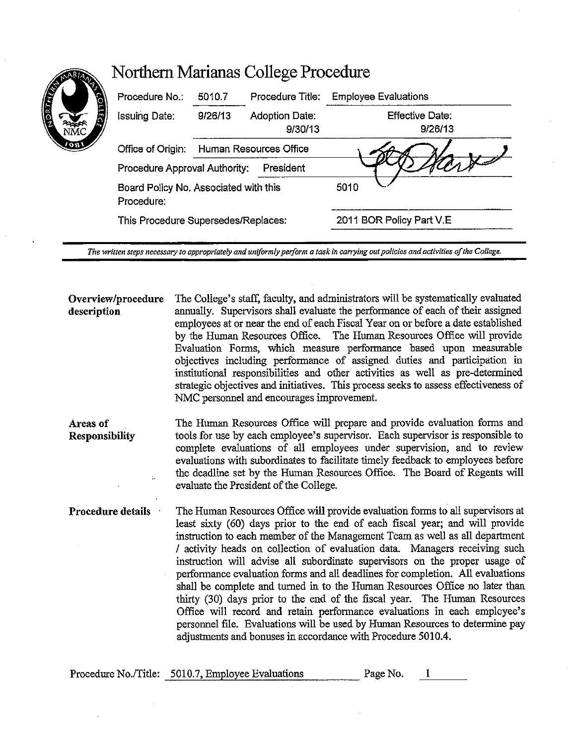| Procedure No.                                       | 5010.7                 | Procedure Title:                 | <b>Employee Evaluations</b>       |
|-----------------------------------------------------|------------------------|----------------------------------|-----------------------------------|
| <b>Issuing Date:</b>                                | 9/26/13                | <b>Adoption Date:</b><br>9/30/13 | <b>Effective Date:</b><br>9/26/13 |
| Office of Origin:                                   | Human Resources Office |                                  |                                   |
| Procedure Approval Authority:                       |                        | President                        |                                   |
| Board Policy No. Associated with this<br>Procedure: |                        |                                  | 5010                              |
| This Procedure Supersedes/Replaces:                 |                        | 2011 BOR Policy Part V.E         |                                   |

*The written steps necessary to appropriately and uniformly perform a task in carrying out policies and activities of the College.* 

**Overview/procedure description**  The College's staff, faculty, and administrators will be systematically evaluated annually. Supervisors shall evaluate the performance of each of their assigned employees at or near the end of each Fiscal Year on or before a date established by the Human Resources Office. The Human Resources Office will provide Evaluation Forms, which measure performance based upon measurable objectives including performance of assigned duties and participation in institutional responsibilities and other activities as well as pre-determined strategic objectives and initiatives. This process seeks to assess effectiveness of NMC personnel and encourages improvement.

**Areas of Responsibility**  The Human Resources Office will prepare and provide evaluation forms and tools for use by each employee's supervisor. Each supervisor is responsible to complete evaluations of all employees under supervision, and to review evaluations with subordinates to facilitate timely feedback to employees before the deadline set by the Human Resources Office. The Board of Regents will evaluate the President of the College.

**Procedure details**  The Human Resources Office will provide evaluation forms to all supervisors at least sixty (60) days prior to the end of each fiscal year; and will provide instruction to each member of the Management Team as well as all department / activity heads on collection of evaluation data. Managers receiving such instruction will advise all subordinate supervisors on the proper usage of performance evaluation forms and all deadlines for completion. All evaluations shall be complete and turned in to the Human Resources Office no later than thirty (30) days prior to the end of the fiscal year. The Human Resources Office will record and retain performance evaluations in each employee's personnel file. Evaluations will be used by Human Resources to determine pay adjustments and bonuses in accordance with Procedure 5010.4.

| Procedure No./Title: 5010.7, Employee Evaluations | Page No. |  |
|---------------------------------------------------|----------|--|
|                                                   |          |  |